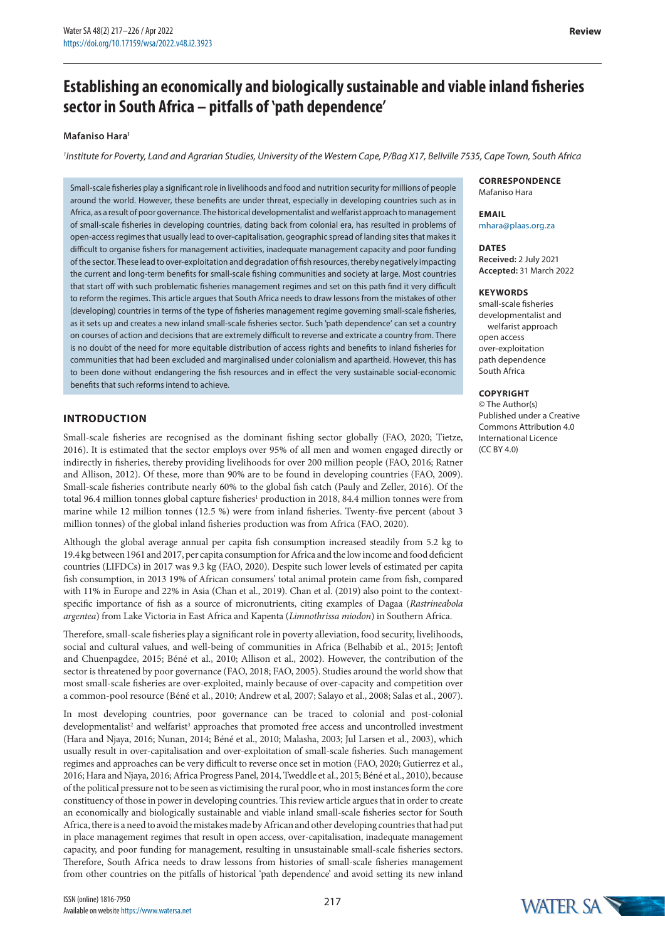# **Establishing an economically and biologically sustainable and viable inland fisheries**  sector in South Africa - pitfalls of **'path dependence'**

#### **Mafaniso Hara1**

*1 Institute for Poverty, Land and Agrarian Studies, University of the Western Cape, P/Bag X17, Bellville 7535, Cape Town, South Africa*

Small-scale fisheries play a significant role in livelihoods and food and nutrition security for millions of people around the world. However, these benefits are under threat, especially in developing countries such as in Africa, as a result of poor governance. The historical developmentalist and welfarist approach to management of small-scale fisheries in developing countries, dating back from colonial era, has resulted in problems of open-access regimes that usually lead to over-capitalisation, geographic spread of landing sites that makes it difficult to organise fishers for management activities, inadequate management capacity and poor funding of the sector. These lead to over-exploitation and degradation of fish resources, thereby negatively impacting the current and long-term benefits for small-scale fishing communities and society at large. Most countries that start off with such problematic fisheries management regimes and set on this path find it very difficult to reform the regimes. This article argues that South Africa needs to draw lessons from the mistakes of other (developing) countries in terms of the type of fisheries management regime governing small-scale fisheries, as it sets up and creates a new inland small-scale fisheries sector. Such 'path dependence' can set a country on courses of action and decisions that are extremely difficult to reverse and extricate a country from. There is no doubt of the need for more equitable distribution of access rights and benefits to inland fisheries for communities that had been excluded and marginalised under colonialism and apartheid. However, this has to been done without endangering the fish resources and in effect the very sustainable social-economic benefits that such reforms intend to achieve.

## **INTRODUCTION**

Small-scale fisheries are recognised as the dominant fishing sector globally (FAO, 2020; Tietze, 2016). It is estimated that the sector employs over 95% of all men and women engaged directly or indirectly in fisheries, thereby providing livelihoods for over 200 million people (FAO, 2016; Ratner and Allison, 2012). Of these, more than 90% are to be found in developing countries (FAO, 2009). Small-scale fisheries contribute nearly 60% to the global fish catch (Pauly and Zeller, 2016). Of the total 96.4 million tonnes global capture fisheries<sup>1</sup> production in 2018, 84.4 million tonnes were from marine while 12 million tonnes (12.5 %) were from inland fisheries. Twenty-five percent (about 3 million tonnes) of the global inland fisheries production was from Africa (FAO, 2020).

Although the global average annual per capita fish consumption increased steadily from 5.2 kg to 19.4 kg between 1961 and 2017, per capita consumption for Africa and the low income and food deficient countries (LIFDCs) in 2017 was 9.3 kg (FAO, 2020). Despite such lower levels of estimated per capita fish consumption, in 2013 19% of African consumers' total animal protein came from fish, compared with 11% in Europe and 22% in Asia (Chan et al., 2019). Chan et al. (2019) also point to the contextspecific importance of fish as a source of micronutrients, citing examples of Dagaa (*Rastrineabola argentea*) from Lake Victoria in East Africa and Kapenta (*Limnothrissa miodon*) in Southern Africa.

Therefore, small-scale fisheries play a significant role in poverty alleviation, food security, livelihoods, social and cultural values, and well-being of communities in Africa (Belhabib et al., 2015; Jentoft and Chuenpagdee, 2015; Béné et al., 2010; Allison et al., 2002). However, the contribution of the sector is threatened by poor governance (FAO, 2018; FAO, 2005). Studies around the world show that most small-scale fisheries are over-exploited, mainly because of over-capacity and competition over a common-pool resource (Béné et al., 2010; Andrew et al, 2007; Salayo et al., 2008; Salas et al., 2007).

In most developing countries, poor governance can be traced to colonial and post-colonial developmentalist<sup>2</sup> and welfarist<sup>3</sup> approaches that promoted free access and uncontrolled investment (Hara and Njaya, 2016; Nunan, 2014; Béné et al., 2010; Malasha, 2003; Jul Larsen et al., 2003), which usually result in over-capitalisation and over-exploitation of small-scale fisheries. Such management regimes and approaches can be very difficult to reverse once set in motion (FAO, 2020; Gutierrez et al., 2016; Hara and Njaya, 2016; Africa Progress Panel, 2014, Tweddle et al., 2015; Béné et al., 2010), because of the political pressure not to be seen as victimising the rural poor, who in most instances form the core constituency of those in power in developing countries. This review article argues that in order to create an economically and biologically sustainable and viable inland small-scale fisheries sector for South Africa, there is a need to avoid the mistakes made by African and other developing countries that had put in place management regimes that result in open access, over-capitalisation, inadequate management capacity, and poor funding for management, resulting in unsustainable small-scale fisheries sectors. Therefore, South Africa needs to draw lessons from histories of small-scale fisheries management from other countries on the pitfalls of historical 'path dependence' and avoid setting its new inland

#### **CORRESPONDENCE** Mafaniso Hara

#### **EMAIL** mhara@plaas.org.za

**DATES Received:** 2 July 2021 **Accepted:** 31 March 2022

#### **KEYWORDS**

small-scale fisheries developmentalist and welfarist approach open access over-exploitation path dependence South Africa

### **COPYRIGHT**

© The Author(s) Published under a [Creative](https://creativecommons.org/licenses/by/4.0/)  [Commons Attribution 4.0](https://creativecommons.org/licenses/by/4.0/) [International Licence](https://creativecommons.org/licenses/by/4.0/)  $(CCRY 40)$ 

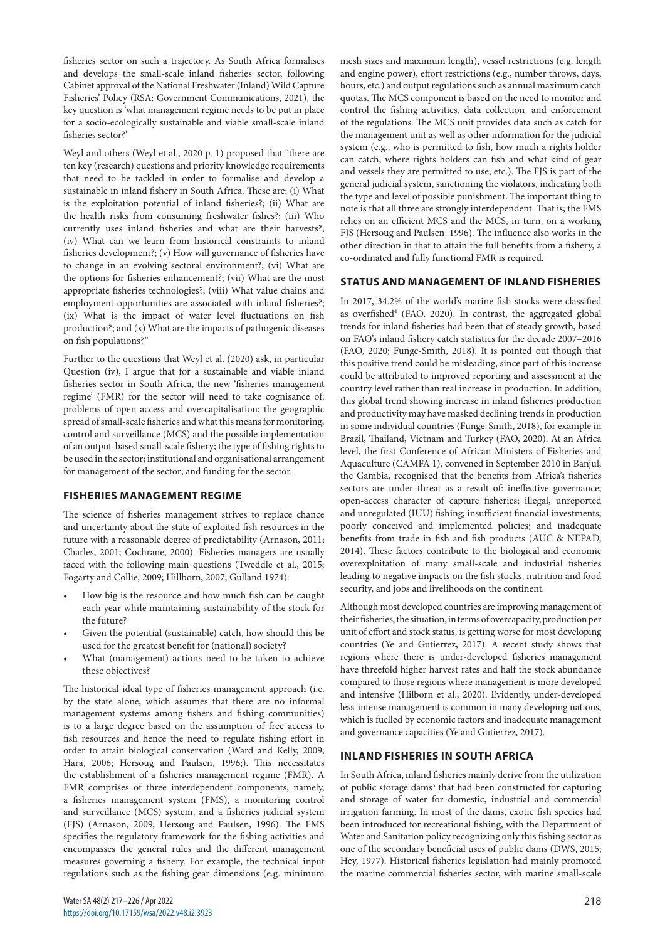fisheries sector on such a trajectory. As South Africa formalises and develops the small-scale inland fisheries sector, following Cabinet approval of the National Freshwater (Inland) Wild Capture Fisheries' Policy (RSA: Government Communications, 2021), the key question is 'what management regime needs to be put in place for a socio-ecologically sustainable and viable small-scale inland fisheries sector?'

Weyl and others (Weyl et al., 2020 p. 1) proposed that "there are ten key (research) questions and priority knowledge requirements that need to be tackled in order to formalise and develop a sustainable in inland fishery in South Africa. These are: (i) What is the exploitation potential of inland fisheries?; (ii) What are the health risks from consuming freshwater fishes?; (iii) Who currently uses inland fisheries and what are their harvests?; (iv) What can we learn from historical constraints to inland fisheries development?; (v) How will governance of fisheries have to change in an evolving sectoral environment?; (vi) What are the options for fisheries enhancement?; (vii) What are the most appropriate fisheries technologies?; (viii) What value chains and employment opportunities are associated with inland fisheries?; (ix) What is the impact of water level fluctuations on fish production?; and (x) What are the impacts of pathogenic diseases on fish populations?"

Further to the questions that Weyl et al. (2020) ask, in particular Question (iv), I argue that for a sustainable and viable inland fisheries sector in South Africa, the new 'fisheries management regime' (FMR) for the sector will need to take cognisance of: problems of open access and overcapitalisation; the geographic spread of small-scale fisheries and what this means for monitoring, control and surveillance (MCS) and the possible implementation of an output-based small-scale fishery; the type of fishing rights to be used in the sector; institutional and organisational arrangement for management of the sector; and funding for the sector.

## **FISHERIES MANAGEMENT REGIME**

The science of fisheries management strives to replace chance and uncertainty about the state of exploited fish resources in the future with a reasonable degree of predictability (Arnason, 2011; Charles, 2001; Cochrane, 2000). Fisheries managers are usually faced with the following main questions (Tweddle et al., 2015; Fogarty and Collie, 2009; Hillborn, 2007; Gulland 1974):

- How big is the resource and how much fish can be caught each year while maintaining sustainability of the stock for the future?
- Given the potential (sustainable) catch, how should this be used for the greatest benefit for (national) society?
- What (management) actions need to be taken to achieve these objectives?

The historical ideal type of fisheries management approach (i.e. by the state alone, which assumes that there are no informal management systems among fishers and fishing communities) is to a large degree based on the assumption of free access to fish resources and hence the need to regulate fishing effort in order to attain biological conservation (Ward and Kelly, 2009; Hara, 2006; Hersoug and Paulsen, 1996;). This necessitates the establishment of a fisheries management regime (FMR). A FMR comprises of three interdependent components, namely, a fisheries management system (FMS), a monitoring control and surveillance (MCS) system, and a fisheries judicial system (FJS) (Arnason, 2009; Hersoug and Paulsen, 1996). The FMS specifies the regulatory framework for the fishing activities and encompasses the general rules and the different management measures governing a fishery. For example, the technical input regulations such as the fishing gear dimensions (e.g. minimum

mesh sizes and maximum length), vessel restrictions (e.g. length and engine power), effort restrictions (e.g., number throws, days, hours, etc.) and output regulations such as annual maximum catch quotas. The MCS component is based on the need to monitor and control the fishing activities, data collection, and enforcement of the regulations. The MCS unit provides data such as catch for the management unit as well as other information for the judicial system (e.g., who is permitted to fish, how much a rights holder can catch, where rights holders can fish and what kind of gear and vessels they are permitted to use, etc.). The FJS is part of the general judicial system, sanctioning the violators, indicating both the type and level of possible punishment. The important thing to note is that all three are strongly interdependent. That is; the FMS relies on an efficient MCS and the MCS, in turn, on a working FJS (Hersoug and Paulsen, 1996). The influence also works in the other direction in that to attain the full benefits from a fishery, a co-ordinated and fully functional FMR is required.

## **STATUS AND MANAGEMENT OF INLAND FISHERIES**

In 2017, 34.2% of the world's marine fish stocks were classified as overfished<sup>4</sup> (FAO, 2020). In contrast, the aggregated global trends for inland fisheries had been that of steady growth, based on FAO's inland fishery catch statistics for the decade 2007–2016 (FAO, 2020; Funge-Smith, 2018). It is pointed out though that this positive trend could be misleading, since part of this increase could be attributed to improved reporting and assessment at the country level rather than real increase in production. In addition, this global trend showing increase in inland fisheries production and productivity may have masked declining trends in production in some individual countries (Funge-Smith, 2018), for example in Brazil, Thailand, Vietnam and Turkey (FAO, 2020). At an Africa level, the first Conference of African Ministers of Fisheries and Aquaculture (CAMFA 1), convened in September 2010 in Banjul, the Gambia, recognised that the benefits from Africa's fisheries sectors are under threat as a result of: ineffective governance; open-access character of capture fisheries; illegal, unreported and unregulated (IUU) fishing; insufficient financial investments; poorly conceived and implemented policies; and inadequate benefits from trade in fish and fish products (AUC & NEPAD, 2014). These factors contribute to the biological and economic overexploitation of many small-scale and industrial fisheries leading to negative impacts on the fish stocks, nutrition and food security, and jobs and livelihoods on the continent.

Although most developed countries are improving management of their fisheries, the situation, in terms of overcapacity, production per unit of effort and stock status, is getting worse for most developing countries (Ye and Gutierrez, 2017). A recent study shows that regions where there is under-developed fisheries management have threefold higher harvest rates and half the stock abundance compared to those regions where management is more developed and intensive (Hilborn et al., 2020). Evidently, under-developed less-intense management is common in many developing nations, which is fuelled by economic factors and inadequate management and governance capacities (Ye and Gutierrez, 2017).

## **INLAND FISHERIES IN SOUTH AFRICA**

In South Africa, inland fisheries mainly derive from the utilization of public storage dams<sup>5</sup> that had been constructed for capturing and storage of water for domestic, industrial and commercial irrigation farming. In most of the dams, exotic fish species had been introduced for recreational fishing, with the Department of Water and Sanitation policy recognizing only this fishing sector as one of the secondary beneficial uses of public dams (DWS, 2015; Hey, 1977). Historical fisheries legislation had mainly promoted the marine commercial fisheries sector, with marine small-scale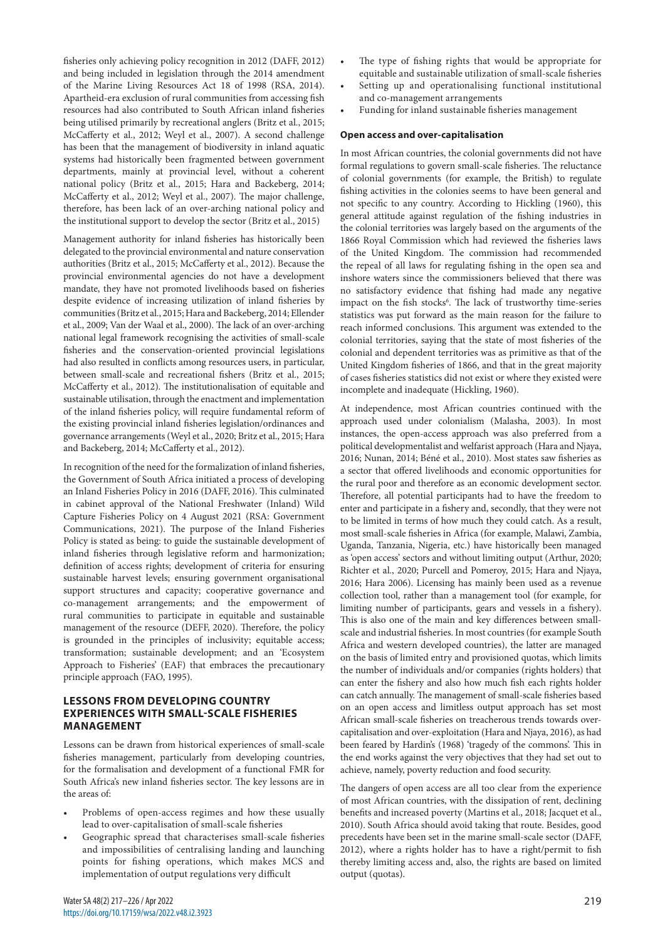fisheries only achieving policy recognition in 2012 (DAFF, 2012) and being included in legislation through the 2014 amendment of the Marine Living Resources Act 18 of 1998 (RSA, 2014). Apartheid-era exclusion of rural communities from accessing fish resources had also contributed to South African inland fisheries being utilised primarily by recreational anglers (Britz et al., 2015; McCafferty et al., 2012; Weyl et al., 2007). A second challenge has been that the management of biodiversity in inland aquatic systems had historically been fragmented between government departments, mainly at provincial level, without a coherent national policy (Britz et al., 2015; Hara and Backeberg, 2014; McCafferty et al., 2012; Weyl et al., 2007). The major challenge, therefore, has been lack of an over-arching national policy and the institutional support to develop the sector (Britz et al., 2015)

Management authority for inland fisheries has historically been delegated to the provincial environmental and nature conservation authorities (Britz et al., 2015; McCafferty et al., 2012). Because the provincial environmental agencies do not have a development mandate, they have not promoted livelihoods based on fisheries despite evidence of increasing utilization of inland fisheries by communities (Britz et al., 2015; Hara and Backeberg, 2014; Ellender et al., 2009; Van der Waal et al., 2000). The lack of an over-arching national legal framework recognising the activities of small-scale fisheries and the conservation-oriented provincial legislations had also resulted in conflicts among resources users, in particular, between small-scale and recreational fishers (Britz et al., 2015; McCafferty et al., 2012). The institutionalisation of equitable and sustainable utilisation, through the enactment and implementation of the inland fisheries policy, will require fundamental reform of the existing provincial inland fisheries legislation/ordinances and governance arrangements (Weyl et al., 2020; Britz et al., 2015; Hara and Backeberg, 2014; McCafferty et al., 2012).

In recognition of the need for the formalization of inland fisheries, the Government of South Africa initiated a process of developing an Inland Fisheries Policy in 2016 (DAFF, 2016). This culminated in cabinet approval of the National Freshwater (Inland) Wild Capture Fisheries Policy on 4 August 2021 (RSA: Government Communications, 2021). The purpose of the Inland Fisheries Policy is stated as being: to guide the sustainable development of inland fisheries through legislative reform and harmonization; definition of access rights; development of criteria for ensuring sustainable harvest levels; ensuring government organisational support structures and capacity; cooperative governance and co-management arrangements; and the empowerment of rural communities to participate in equitable and sustainable management of the resource (DEFF, 2020). Therefore, the policy is grounded in the principles of inclusivity; equitable access; transformation; sustainable development; and an 'Ecosystem Approach to Fisheries' (EAF) that embraces the precautionary principle approach (FAO, 1995).

## **LESSONS FROM DEVELOPING COUNTRY EXPERIENCES WITH SMALL-SCALE FISHERIES MANAGEMENT**

Lessons can be drawn from historical experiences of small-scale fisheries management, particularly from developing countries, for the formalisation and development of a functional FMR for South Africa's new inland fisheries sector. The key lessons are in the areas of:

- Problems of open-access regimes and how these usually lead to over-capitalisation of small-scale fisheries
- Geographic spread that characterises small-scale fisheries and impossibilities of centralising landing and launching points for fishing operations, which makes MCS and implementation of output regulations very difficult
- The type of fishing rights that would be appropriate for equitable and sustainable utilization of small-scale fisheries
- Setting up and operationalising functional institutional and co-management arrangements
- Funding for inland sustainable fisheries management

# **Open access and over-capitalisation**

In most African countries, the colonial governments did not have formal regulations to govern small-scale fisheries. The reluctance of colonial governments (for example, the British) to regulate fishing activities in the colonies seems to have been general and not specific to any country. According to Hickling (1960), this general attitude against regulation of the fishing industries in the colonial territories was largely based on the arguments of the 1866 Royal Commission which had reviewed the fisheries laws of the United Kingdom. The commission had recommended the repeal of all laws for regulating fishing in the open sea and inshore waters since the commissioners believed that there was no satisfactory evidence that fishing had made any negative impact on the fish stocks<sup>6</sup>. The lack of trustworthy time-series statistics was put forward as the main reason for the failure to reach informed conclusions. This argument was extended to the colonial territories, saying that the state of most fisheries of the colonial and dependent territories was as primitive as that of the United Kingdom fisheries of 1866, and that in the great majority of cases fisheries statistics did not exist or where they existed were incomplete and inadequate (Hickling, 1960).

At independence, most African countries continued with the approach used under colonialism (Malasha, 2003). In most instances, the open-access approach was also preferred from a political developmentalist and welfarist approach (Hara and Njaya, 2016; Nunan, 2014; Béné et al., 2010). Most states saw fisheries as a sector that offered livelihoods and economic opportunities for the rural poor and therefore as an economic development sector. Therefore, all potential participants had to have the freedom to enter and participate in a fishery and, secondly, that they were not to be limited in terms of how much they could catch. As a result, most small-scale fisheries in Africa (for example, Malawi, Zambia, Uganda, Tanzania, Nigeria, etc.) have historically been managed as 'open access' sectors and without limiting output (Arthur, 2020; Richter et al., 2020; Purcell and Pomeroy, 2015; Hara and Njaya, 2016; Hara 2006). Licensing has mainly been used as a revenue collection tool, rather than a management tool (for example, for limiting number of participants, gears and vessels in a fishery). This is also one of the main and key differences between smallscale and industrial fisheries. In most countries (for example South Africa and western developed countries), the latter are managed on the basis of limited entry and provisioned quotas, which limits the number of individuals and/or companies (rights holders) that can enter the fishery and also how much fish each rights holder can catch annually. The management of small-scale fisheries based on an open access and limitless output approach has set most African small-scale fisheries on treacherous trends towards overcapitalisation and over-exploitation (Hara and Njaya, 2016), as had been feared by Hardin's (1968) 'tragedy of the commons'. This in the end works against the very objectives that they had set out to achieve, namely, poverty reduction and food security.

The dangers of open access are all too clear from the experience of most African countries, with the dissipation of rent, declining benefits and increased poverty (Martins et al., 2018; Jacquet et al., 2010). South Africa should avoid taking that route. Besides, good precedents have been set in the marine small-scale sector (DAFF, 2012), where a rights holder has to have a right/permit to fish thereby limiting access and, also, the rights are based on limited output (quotas).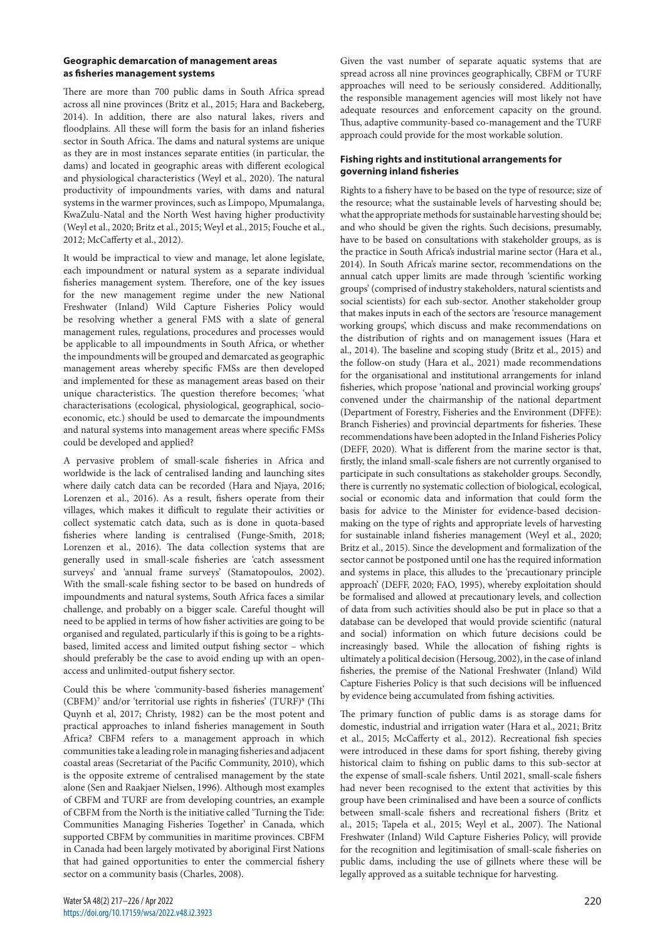#### **Geographic demarcation of management areas as fisheries management systems**

There are more than 700 public dams in South Africa spread across all nine provinces (Britz et al., 2015; Hara and Backeberg, 2014). In addition, there are also natural lakes, rivers and floodplains. All these will form the basis for an inland fisheries sector in South Africa. The dams and natural systems are unique as they are in most instances separate entities (in particular, the dams) and located in geographic areas with different ecological and physiological characteristics (Weyl et al., 2020). The natural productivity of impoundments varies, with dams and natural systems in the warmer provinces, such as Limpopo, Mpumalanga, KwaZulu-Natal and the North West having higher productivity (Weyl et al., 2020; Britz et al., 2015; Weyl et al., 2015; Fouche et al., 2012; McCafferty et al., 2012).

It would be impractical to view and manage, let alone legislate, each impoundment or natural system as a separate individual fisheries management system. Therefore, one of the key issues for the new management regime under the new National Freshwater (Inland) Wild Capture Fisheries Policy would be resolving whether a general FMS with a slate of general management rules, regulations, procedures and processes would be applicable to all impoundments in South Africa, or whether the impoundments will be grouped and demarcated as geographic management areas whereby specific FMSs are then developed and implemented for these as management areas based on their unique characteristics. The question therefore becomes; 'what characterisations (ecological, physiological, geographical, socioeconomic, etc.) should be used to demarcate the impoundments and natural systems into management areas where specific FMSs could be developed and applied?

A pervasive problem of small-scale fisheries in Africa and worldwide is the lack of centralised landing and launching sites where daily catch data can be recorded (Hara and Njaya, 2016; Lorenzen et al., 2016). As a result, fishers operate from their villages, which makes it difficult to regulate their activities or collect systematic catch data, such as is done in quota-based fisheries where landing is centralised (Funge-Smith, 2018; Lorenzen et al., 2016). The data collection systems that are generally used in small-scale fisheries are 'catch assessment surveys' and 'annual frame surveys' (Stamatopoulos, 2002). With the small-scale fishing sector to be based on hundreds of impoundments and natural systems, South Africa faces a similar challenge, and probably on a bigger scale. Careful thought will need to be applied in terms of how fisher activities are going to be organised and regulated, particularly if this is going to be a rightsbased, limited access and limited output fishing sector – which should preferably be the case to avoid ending up with an openaccess and unlimited-output fishery sector.

Could this be where 'community-based fisheries management' (CBFM)<sup>7</sup> and/or 'territorial use rights in fisheries' (TURF)<sup>8</sup> (Thi Quynh et al, 2017; Christy, 1982) can be the most potent and practical approaches to inland fisheries management in South Africa? CBFM refers to a management approach in which communities take a leading role in managing fisheries and adjacent coastal areas (Secretariat of the Pacific Community, 2010), which is the opposite extreme of centralised management by the state alone (Sen and Raakjaer Nielsen, 1996). Although most examples of CBFM and TURF are from developing countries, an example of CBFM from the North is the initiative called 'Turning the Tide: Communities Managing Fisheries Together' in Canada, which supported CBFM by communities in maritime provinces. CBFM in Canada had been largely motivated by aboriginal First Nations that had gained opportunities to enter the commercial fishery sector on a community basis (Charles, 2008).

Given the vast number of separate aquatic systems that are spread across all nine provinces geographically, CBFM or TURF approaches will need to be seriously considered. Additionally, the responsible management agencies will most likely not have adequate resources and enforcement capacity on the ground. Thus, adaptive community-based co-management and the TURF approach could provide for the most workable solution.

## **Fishing rights and institutional arrangements for governing inland fisheries**

Rights to a fishery have to be based on the type of resource; size of the resource; what the sustainable levels of harvesting should be; what the appropriate methods for sustainable harvesting should be; and who should be given the rights. Such decisions, presumably, have to be based on consultations with stakeholder groups, as is the practice in South Africa's industrial marine sector (Hara et al., 2014). In South Africa's marine sector, recommendations on the annual catch upper limits are made through 'scientific working groups' (comprised of industry stakeholders, natural scientists and social scientists) for each sub-sector. Another stakeholder group that makes inputs in each of the sectors are 'resource management working groups', which discuss and make recommendations on the distribution of rights and on management issues (Hara et al., 2014). The baseline and scoping study (Britz et al., 2015) and the follow-on study (Hara et al., 2021) made recommendations for the organisational and institutional arrangements for inland fisheries, which propose 'national and provincial working groups' convened under the chairmanship of the national department (Department of Forestry, Fisheries and the Environment (DFFE): Branch Fisheries) and provincial departments for fisheries. These recommendations have been adopted in the Inland Fisheries Policy (DEFF, 2020). What is different from the marine sector is that, firstly, the inland small-scale fishers are not currently organised to participate in such consultations as stakeholder groups. Secondly, there is currently no systematic collection of biological, ecological, social or economic data and information that could form the basis for advice to the Minister for evidence-based decisionmaking on the type of rights and appropriate levels of harvesting for sustainable inland fisheries management (Weyl et al., 2020; Britz et al., 2015). Since the development and formalization of the sector cannot be postponed until one has the required information and systems in place, this alludes to the 'precautionary principle approach' (DEFF, 2020; FAO, 1995), whereby exploitation should be formalised and allowed at precautionary levels, and collection of data from such activities should also be put in place so that a database can be developed that would provide scientific (natural and social) information on which future decisions could be increasingly based. While the allocation of fishing rights is ultimately a political decision (Hersoug, 2002), in the case of inland fisheries, the premise of the National Freshwater (Inland) Wild Capture Fisheries Policy is that such decisions will be influenced by evidence being accumulated from fishing activities.

The primary function of public dams is as storage dams for domestic, industrial and irrigation water (Hara et al., 2021; Britz et al., 2015; McCafferty et al., 2012). Recreational fish species were introduced in these dams for sport fishing, thereby giving historical claim to fishing on public dams to this sub-sector at the expense of small-scale fishers. Until 2021, small-scale fishers had never been recognised to the extent that activities by this group have been criminalised and have been a source of conflicts between small-scale fishers and recreational fishers (Britz et al., 2015; Tapela et al., 2015; Weyl et al., 2007). The National Freshwater (Inland) Wild Capture Fisheries Policy, will provide for the recognition and legitimisation of small-scale fisheries on public dams, including the use of gillnets where these will be legally approved as a suitable technique for harvesting.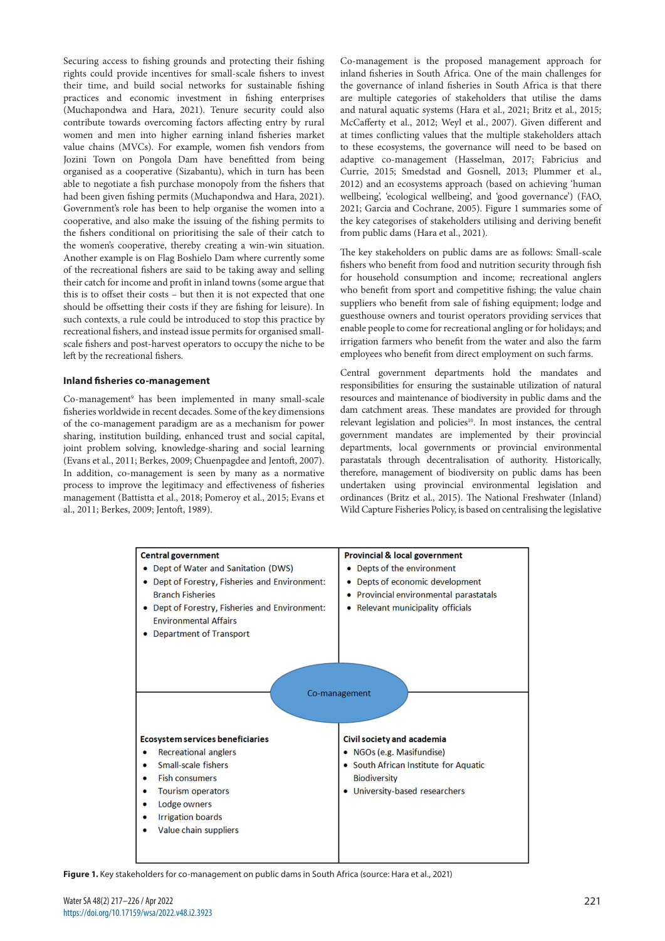Securing access to fishing grounds and protecting their fishing rights could provide incentives for small-scale fishers to invest their time, and build social networks for sustainable fishing practices and economic investment in fishing enterprises (Muchapondwa and Hara, 2021). Tenure security could also contribute towards overcoming factors affecting entry by rural women and men into higher earning inland fisheries market value chains (MVCs). For example, women fish vendors from Jozini Town on Pongola Dam have benefitted from being organised as a cooperative (Sizabantu), which in turn has been able to negotiate a fish purchase monopoly from the fishers that had been given fishing permits (Muchapondwa and Hara, 2021). Government's role has been to help organise the women into a cooperative, and also make the issuing of the fishing permits to the fishers conditional on prioritising the sale of their catch to the women's cooperative, thereby creating a win-win situation. Another example is on Flag Boshielo Dam where currently some of the recreational fishers are said to be taking away and selling their catch for income and profit in inland towns (some argue that this is to offset their costs – but then it is not expected that one should be offsetting their costs if they are fishing for leisure). In such contexts, a rule could be introduced to stop this practice by recreational fishers, and instead issue permits for organised smallscale fishers and post-harvest operators to occupy the niche to be left by the recreational fishers.

#### **Inland fisheries co-management**

Co-management9 has been implemented in many small-scale fisheries worldwide in recent decades. Some of the key dimensions of the co-management paradigm are as a mechanism for power sharing, institution building, enhanced trust and social capital, joint problem solving, knowledge-sharing and social learning (Evans et al., 2011; Berkes, 2009; Chuenpagdee and Jentoft, 2007). In addition, co-management is seen by many as a normative process to improve the legitimacy and effectiveness of fisheries management (Battistta et al., 2018; Pomeroy et al., 2015; Evans et al., 2011; Berkes, 2009; Jentoft, 1989).

Co-management is the proposed management approach for inland fisheries in South Africa. One of the main challenges for the governance of inland fisheries in South Africa is that there are multiple categories of stakeholders that utilise the dams and natural aquatic systems (Hara et al., 2021; Britz et al., 2015; McCafferty et al., 2012; Weyl et al., 2007). Given different and at times conflicting values that the multiple stakeholders attach to these ecosystems, the governance will need to be based on adaptive co-management (Hasselman, 2017; Fabricius and Currie, 2015; Smedstad and Gosnell, 2013; Plummer et al., 2012) and an ecosystems approach (based on achieving 'human wellbeing', 'ecological wellbeing', and 'good governance') (FAO, 2021; Garcia and Cochrane, 2005). Figure 1 summaries some of the key categorises of stakeholders utilising and deriving benefit from public dams (Hara et al., 2021).

The key stakeholders on public dams are as follows: Small-scale fishers who benefit from food and nutrition security through fish for household consumption and income; recreational anglers who benefit from sport and competitive fishing; the value chain suppliers who benefit from sale of fishing equipment; lodge and guesthouse owners and tourist operators providing services that enable people to come for recreational angling or for holidays; and irrigation farmers who benefit from the water and also the farm employees who benefit from direct employment on such farms.

Central government departments hold the mandates and responsibilities for ensuring the sustainable utilization of natural resources and maintenance of biodiversity in public dams and the dam catchment areas. These mandates are provided for through relevant legislation and policies<sup>10</sup>. In most instances, the central government mandates are implemented by their provincial departments, local governments or provincial environmental parastatals through decentralisation of authority. Historically, therefore, management of biodiversity on public dams has been undertaken using provincial environmental legislation and ordinances (Britz et al., 2015). The National Freshwater (Inland) Wild Capture Fisheries Policy, is based on centralising the legislative



**Figure 1.** Key stakeholders for co-management on public dams in South Africa (source: Hara et al., 2021)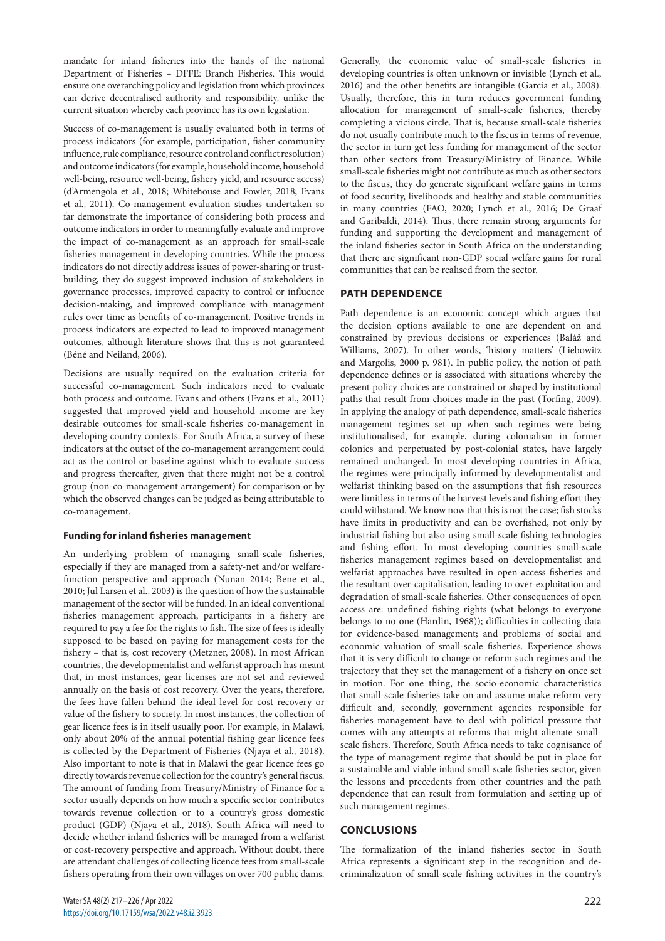mandate for inland fisheries into the hands of the national Department of Fisheries – DFFE: Branch Fisheries. This would ensure one overarching policy and legislation from which provinces can derive decentralised authority and responsibility, unlike the current situation whereby each province has its own legislation.

Success of co-management is usually evaluated both in terms of process indicators (for example, participation, fisher community influence, rule compliance, resource control and conflict resolution) and outcome indicators (for example, household income, household well-being, resource well-being, fishery yield, and resource access) (d'Armengola et al., 2018; Whitehouse and Fowler, 2018; Evans et al., 2011). Co-management evaluation studies undertaken so far demonstrate the importance of considering both process and outcome indicators in order to meaningfully evaluate and improve the impact of co-management as an approach for small-scale fisheries management in developing countries. While the process indicators do not directly address issues of power-sharing or trustbuilding, they do suggest improved inclusion of stakeholders in governance processes, improved capacity to control or influence decision-making, and improved compliance with management rules over time as benefits of co-management. Positive trends in process indicators are expected to lead to improved management outcomes, although literature shows that this is not guaranteed (Béné and Neiland, 2006).

Decisions are usually required on the evaluation criteria for successful co-management. Such indicators need to evaluate both process and outcome. Evans and others (Evans et al., 2011) suggested that improved yield and household income are key desirable outcomes for small-scale fisheries co-management in developing country contexts. For South Africa, a survey of these indicators at the outset of the co-management arrangement could act as the control or baseline against which to evaluate success and progress thereafter, given that there might not be a control group (non-co-management arrangement) for comparison or by which the observed changes can be judged as being attributable to co-management.

#### **Funding for inland fisheries management**

An underlying problem of managing small-scale fisheries, especially if they are managed from a safety-net and/or welfarefunction perspective and approach (Nunan 2014; Bene et al., 2010; Jul Larsen et al., 2003) is the question of how the sustainable management of the sector will be funded. In an ideal conventional fisheries management approach, participants in a fishery are required to pay a fee for the rights to fish. The size of fees is ideally supposed to be based on paying for management costs for the fishery – that is, cost recovery (Metzner, 2008). In most African countries, the developmentalist and welfarist approach has meant that, in most instances, gear licenses are not set and reviewed annually on the basis of cost recovery. Over the years, therefore, the fees have fallen behind the ideal level for cost recovery or value of the fishery to society. In most instances, the collection of gear licence fees is in itself usually poor. For example, in Malawi, only about 20% of the annual potential fishing gear licence fees is collected by the Department of Fisheries (Njaya et al., 2018). Also important to note is that in Malawi the gear licence fees go directly towards revenue collection for the country's general fiscus. The amount of funding from Treasury/Ministry of Finance for a sector usually depends on how much a specific sector contributes towards revenue collection or to a country's gross domestic product (GDP) (Njaya et al., 2018). South Africa will need to decide whether inland fisheries will be managed from a welfarist or cost-recovery perspective and approach. Without doubt, there are attendant challenges of collecting licence fees from small-scale fishers operating from their own villages on over 700 public dams.

Generally, the economic value of small-scale fisheries in developing countries is often unknown or invisible (Lynch et al., 2016) and the other benefits are intangible (Garcia et al., 2008). Usually, therefore, this in turn reduces government funding allocation for management of small-scale fisheries, thereby completing a vicious circle. That is, because small-scale fisheries do not usually contribute much to the fiscus in terms of revenue, the sector in turn get less funding for management of the sector than other sectors from Treasury/Ministry of Finance. While small-scale fisheries might not contribute as much as other sectors to the fiscus, they do generate significant welfare gains in terms of food security, livelihoods and healthy and stable communities in many countries (FAO, 2020; Lynch et al., 2016; De Graaf and Garibaldi, 2014). Thus, there remain strong arguments for funding and supporting the development and management of the inland fisheries sector in South Africa on the understanding that there are significant non-GDP social welfare gains for rural communities that can be realised from the sector.

# **PATH DEPENDENCE**

Path dependence is an economic concept which argues that the decision options available to one are dependent on and constrained by previous decisions or experiences (Baláž and Williams, 2007). In other words, 'history matters' (Liebowitz and Margolis, 2000 p. 981). In public policy, the notion of path dependence defines or is associated with situations whereby the present policy choices are constrained or shaped by institutional paths that result from choices made in the past (Torfing, 2009). In applying the analogy of path dependence, small-scale fisheries management regimes set up when such regimes were being institutionalised, for example, during colonialism in former colonies and perpetuated by post-colonial states, have largely remained unchanged. In most developing countries in Africa, the regimes were principally informed by developmentalist and welfarist thinking based on the assumptions that fish resources were limitless in terms of the harvest levels and fishing effort they could withstand. We know now that this is not the case; fish stocks have limits in productivity and can be overfished, not only by industrial fishing but also using small-scale fishing technologies and fishing effort. In most developing countries small-scale fisheries management regimes based on developmentalist and welfarist approaches have resulted in open-access fisheries and the resultant over-capitalisation, leading to over-exploitation and degradation of small-scale fisheries. Other consequences of open access are: undefined fishing rights (what belongs to everyone belongs to no one (Hardin, 1968)); difficulties in collecting data for evidence-based management; and problems of social and economic valuation of small-scale fisheries. Experience shows that it is very difficult to change or reform such regimes and the trajectory that they set the management of a fishery on once set in motion. For one thing, the socio-economic characteristics that small-scale fisheries take on and assume make reform very difficult and, secondly, government agencies responsible for fisheries management have to deal with political pressure that comes with any attempts at reforms that might alienate smallscale fishers. Therefore, South Africa needs to take cognisance of the type of management regime that should be put in place for a sustainable and viable inland small-scale fisheries sector, given the lessons and precedents from other countries and the path dependence that can result from formulation and setting up of such management regimes.

## **CONCLUSIONS**

The formalization of the inland fisheries sector in South Africa represents a significant step in the recognition and decriminalization of small-scale fishing activities in the country's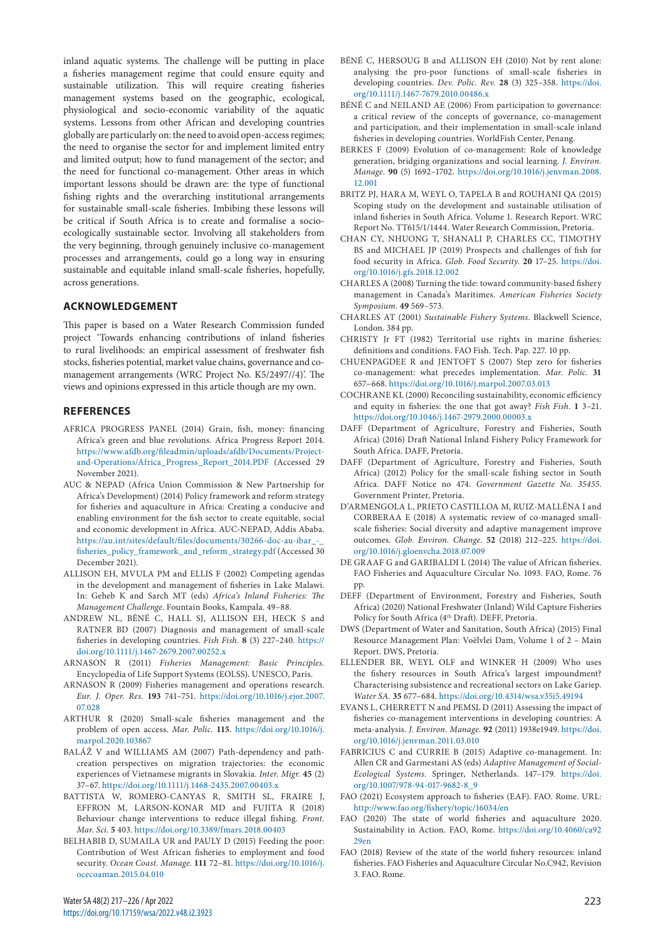inland aquatic systems. The challenge will be putting in place a fisheries management regime that could ensure equity and sustainable utilization. This will require creating fisheries management systems based on the geographic, ecological, physiological and socio-economic variability of the aquatic systems. Lessons from other African and developing countries globally are particularly on: the need to avoid open-access regimes; the need to organise the sector for and implement limited entry and limited output; how to fund management of the sector; and the need for functional co-management. Other areas in which important lessons should be drawn are: the type of functional fishing rights and the overarching institutional arrangements for sustainable small-scale fisheries. Imbibing these lessons will be critical if South Africa is to create and formalise a socioecologically sustainable sector. Involving all stakeholders from the very beginning, through genuinely inclusive co-management processes and arrangements, could go a long way in ensuring sustainable and equitable inland small-scale fisheries, hopefully, across generations.

#### **ACKNOWLEDGEMENT**

This paper is based on a Water Research Commission funded project 'Towards enhancing contributions of inland fisheries to rural livelihoods: an empirical assessment of freshwater fish stocks, fisheries potential, market value chains, governance and comanagement arrangements (WRC Project No. K5/2497//4)'. The views and opinions expressed in this article though are my own.

#### **REFERENCES**

- AFRICA PROGRESS PANEL (2014) Grain, fish, money: financing Africa's green and blue revolutions. Africa Progress Report 2014. [https://www.afdb.org/fileadmin/uploads/afdb/Documents/Project](https://www.afdb.org/fileadmin/uploads/afdb/Documents/Project-and-Operations/Africa_Progress_Report_2014.PDF)[and-Operations/Africa\\_Progress\\_Report\\_2014.PDF](https://www.afdb.org/fileadmin/uploads/afdb/Documents/Project-and-Operations/Africa_Progress_Report_2014.PDF) (Accessed 29 November 2021).
- AUC & NEPAD (Africa Union Commission & New Partnership for Africa's Development) (2014) Policy framework and reform strategy for fisheries and aquaculture in Africa: Creating a conducive and enabling environment for the fish sector to create equitable, social and economic development in Africa. AUC-NEPAD, Addis Ababa. [https://au.int/sites/default/files/documents/30266-doc-au-ibar\\_-\\_](https://au.int/sites/default/files/documents/30266-doc-au-ibar_-_fisheries_policy_framework_and_reform_strategy.pdf) [fisheries\\_policy\\_framework\\_and\\_reform\\_strategy.pdf](https://au.int/sites/default/files/documents/30266-doc-au-ibar_-_fisheries_policy_framework_and_reform_strategy.pdf) (Accessed 30 December 2021).
- ALLISON EH, MVULA PM and ELLIS F (2002) Competing agendas in the development and management of fisheries in Lake Malawi. In: Geheb K and Sarch MT (eds) *Africa's Inland Fisheries: The Management Challenge*. Fountain Books, Kampala. 49–88.
- ANDREW NL, BÉNÉ C, HALL SJ, ALLISON EH, HECK S and RATNER BD (2007) Diagnosis and management of small-scale fisheries in developing countries. *Fish Fish.* **8** (3) 227–240. [https://](https://doi.org/10.1111/j.1467-2679.2007.00252.x) [doi.org/10.1111/j.1467-2679.2007.00252.x](https://doi.org/10.1111/j.1467-2679.2007.00252.x)
- ARNASON R (2011) *Fisheries Management: Basic Principles.* Encyclopedia of Life Support Systems (EOLSS). UNESCO, Paris.
- ARNASON R (2009) Fisheries management and operations research. *Eur. J. Oper. Res.* **193** 741–751. [https://doi.org/10.1016/j.ejor.2007.](https://doi.org/10.1016/j.ejor.2007.07.028) [07.028](https://doi.org/10.1016/j.ejor.2007.07.028)
- ARTHUR R (2020) Small-scale fisheries management and the problem of open access. *Mar. Polic.* **115**. [https://doi.org/10.1016/j.](https://doi.org/10.1016/j.marpol.2020.103867) [marpol.2020.103867](https://doi.org/10.1016/j.marpol.2020.103867)
- BALÁŽ V and WILLIAMS AM (2007) Path-dependency and pathcreation perspectives on migration trajectories: the economic experiences of Vietnamese migrants in Slovakia. *Inter. Migr.* **45** (2) 37–67.<https://doi.org/10.1111/j.1468-2435.2007.00403.x>
- BATTISTA W, ROMERO-CANYAS R, SMITH SL, FRAIRE J, EFFRON M, LARSON-KONAR MD and FUJITA R (2018) Behaviour change interventions to reduce illegal fishing. *Front. Mar. Sci.* **5** 403.<https://doi.org/10.3389/fmars.2018.00403>
- BELHABIB D, SUMAILA UR and PAULY D (2015) Feeding the poor: Contribution of West African fisheries to employment and food security. *Ocean Coast. Manage.* **111** 72–81. [https://doi.org/10.1016/j.](https://doi.org/10.1016/j.ocecoaman.2015.04.010) [ocecoaman.2015.04.010](https://doi.org/10.1016/j.ocecoaman.2015.04.010)
- BÉNÉ C, HERSOUG B and ALLISON EH (2010) Not by rent alone: analysing the pro-poor functions of small-scale fisheries in developing countries. *Dev. Polic. Rev.* **28** (3) 325–358. [https://doi.](https://doi.org/10.1111/j.1467-7679.2010.00486.x) [org/10.1111/j.1467-7679.2010.00486.x](https://doi.org/10.1111/j.1467-7679.2010.00486.x)
- BÉNÉ C and NEILAND AE (2006) From participation to governance: a critical review of the concepts of governance, co-management and participation, and their implementation in small-scale inland fisheries in developing countries. WorldFish Center, Penang.
- BERKES F (2009) Evolution of co-management: Role of knowledge generation, bridging organizations and social learning. *J. Environ. Manage.* **90** (5) 1692–1702. [https://doi.org/10.1016/j.jenvman.2008.](https://doi.org/10.1016/j.jenvman.2008.12.001) [12.001](https://doi.org/10.1016/j.jenvman.2008.12.001)
- BRITZ PJ, HARA M, WEYL O, TAPELA B and ROUHANI QA (2015) Scoping study on the development and sustainable utilisation of inland fisheries in South Africa. Volume 1. Research Report. WRC Report No. TT615/1/1444. Water Research Commission, Pretoria.
- CHAN CY, NHUONG T, SHANALI P, CHARLES CC, TIMOTHY BS and MICHAEL JP (2019) Prospects and challenges of fish for food security in Africa. *Glob. Food Security.* **20** 17–25. [https://doi.](https://doi.org/10.1016/j.gfs.2018.12.002) [org/10.1016/j.gfs.2018.12.002](https://doi.org/10.1016/j.gfs.2018.12.002)
- CHARLES A (2008) Turning the tide: toward community-based fishery management in Canada's Maritimes. *American Fisheries Society Symposium.* **49** 569–573.
- CHARLES AT (2001) *Sustainable Fishery Systems*. Blackwell Science, London. 384 pp.
- CHRISTY Jr FT (1982) Territorial use rights in marine fisheries: definitions and conditions. FAO Fish. Tech. Pap. 227. 10 pp.
- CHUENPAGDEE R and JENTOFT S (2007) Step zero for fisheries co-management: what precedes implementation. *Mar. Polic.* **31** 657−668.<https://doi.org/10.1016/j.marpol.2007.03.013>
- COCHRANE KL (2000) Reconciling sustainability, economic efficiency and equity in fisheries: the one that got away? *Fish Fish.* **1** 3–21. <https://doi.org/10.1046/j.1467-2979.2000.00003.x>
- DAFF (Department of Agriculture, Forestry and Fisheries, South Africa) (2016) Draft National Inland Fishery Policy Framework for South Africa. DAFF, Pretoria.
- DAFF (Department of Agriculture, Forestry and Fisheries, South Africa) (2012) Policy for the small-scale fishing sector in South Africa. DAFF Notice no 474. *Government Gazette No. 35455*. Government Printer, Pretoria.
- D'ARMENGOLA L, PRIETO CASTILLOA M, RUIZ-MALLÉNA I and CORBERAA E (2018) A systematic review of co-managed smallscale fisheries: Social diversity and adaptive management improve outcomes. *Glob. Environ. Change.* **52** (2018) 212–225. [https://doi.](https://doi.org/10.1016/j.gloenvcha.2018.07.009) [org/10.1016/j.gloenvcha.2018.07.009](https://doi.org/10.1016/j.gloenvcha.2018.07.009)
- DE GRAAF G and GARIBALDI L (2014) The value of African fisheries. FAO Fisheries and Aquaculture Circular No. 1093. FAO, Rome. 76 pp.
- DEFF (Department of Environment, Forestry and Fisheries, South Africa) (2020) National Freshwater (Inland) Wild Capture Fisheries Policy for South Africa (4<sup>th</sup> Draft). DEFF, Pretoria.
- DWS (Department of Water and Sanitation, South Africa) (2015) Final Resource Management Plan: Voëlvlei Dam, Volume 1 of 2 – Main Report. DWS, Pretoria.
- ELLENDER BR, WEYL OLF and WINKER H (2009) Who uses the fishery resources in South Africa's largest impoundment? Characterising subsistence and recreational sectors on Lake Gariep. *Water SA.* **35** 677–684.<https://doi.org/10.4314/wsa.v35i5.49194>
- EVANS L, CHERRETT N and PEMSL D (2011) Assessing the impact of fisheries co-management interventions in developing countries: A meta-analysis. *J. Environ. Manage.* **92** (2011) 1938e1949. [https://doi.](https://doi.org/10.1016/j.jenvman.2011.03.010) [org/10.1016/j.jenvman.2011.03.010](https://doi.org/10.1016/j.jenvman.2011.03.010)
- FABRICIUS C and CURRIE B (2015) Adaptive co-management. In: Allen CR and Garmestani AS (eds) *Adaptive Management of Social-Ecological Systems*. Springer, Netherlands. 147–179. [https://doi.](https://doi.org/10.1007/978-94-017-9682-8_9) [org/10.1007/978-94-017-9682-8\\_9](https://doi.org/10.1007/978-94-017-9682-8_9)
- FAO (2021) Ecosystem approach to fisheries (EAF). FAO. Rome. URL: <http://www.fao.org/fishery/topic/16034/en>
- FAO (2020) The state of world fisheries and aquaculture 2020. Sustainability in Action. FAO, Rome. [https://doi.org/10.4060/ca92](https://doi.org/10.4060/ca9229en) [29en](https://doi.org/10.4060/ca9229en)
- FAO (2018) Review of the state of the world fishery resources: inland fisheries. FAO Fisheries and Aquaculture Circular No.C942, Revision 3. FAO. Rome.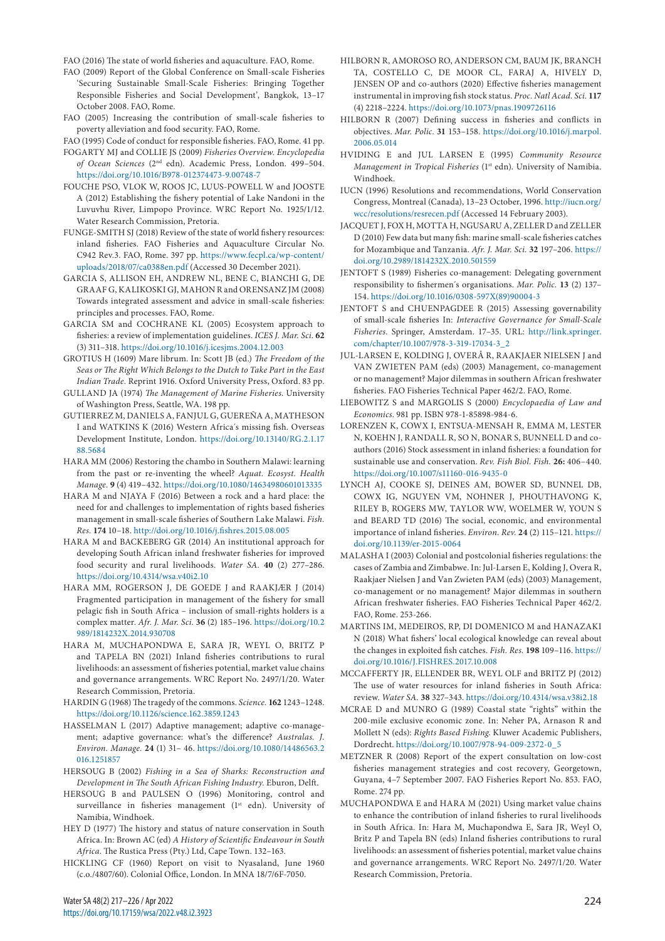FAO (2016) The state of world fisheries and aquaculture. FAO, Rome.

- FAO (2009) Report of the Global Conference on Small-scale Fisheries 'Securing Sustainable Small-Scale Fisheries: Bringing Together Responsible Fisheries and Social Development', Bangkok, 13–17 October 2008. FAO, Rome.
- FAO (2005) Increasing the contribution of small-scale fisheries to poverty alleviation and food security. FAO, Rome.

FAO (1995) Code of conduct for responsible fisheries. FAO, Rome. 41 pp.

- FOGARTY MJ and COLLIE JS (2009) *Fisheries Overview. Encyclopedia of Ocean Sciences* (2nd edn). Academic Press, London. 499–504. <https://doi.org/10.1016/B978-012374473-9.00748-7>
- FOUCHE PSO, VLOK W, ROOS JC, LUUS-POWELL W and JOOSTE A (2012) Establishing the fishery potential of Lake Nandoni in the Luvuvhu River, Limpopo Province. WRC Report No. 1925/1/12. Water Research Commission, Pretoria.
- FUNGE-SMITH SJ (2018) Review of the state of world fishery resources: inland fisheries. FAO Fisheries and Aquaculture Circular No. C942 Rev.3. FAO, Rome. 397 pp. [https://www.fecpl.ca/wp-content/](https://www.fecpl.ca/wp-content/uploads/2018/07/ca0388en.pdf) [uploads/2018/07/ca0388en.pdf](https://www.fecpl.ca/wp-content/uploads/2018/07/ca0388en.pdf) (Accessed 30 December 2021).
- GARCIA S, ALLISON EH, ANDREW NL, BENE C, BIANCHI G, DE GRAAF G, KALIKOSKI GJ, MAHON R and ORENSANZ JM (2008) Towards integrated assessment and advice in small-scale fisheries: principles and processes. FAO, Rome.
- GARCIA SM and COCHRANE KL (2005) Ecosystem approach to fisheries: a review of implementation guidelines. *ICES J. Mar. Sci.* **62** (3) 311–318. <https://doi.org/10.1016/j.icesjms.2004.12.003>
- GROTIUS H (1609) Mare librum. In: Scott JB (ed.) *The Freedom of the Seas or The Right Which Belongs to the Dutch to Take Part in the East Indian Trade.* Reprint 1916. Oxford University Press, Oxford. 83 pp.
- GULLAND JA (1974) *The Management of Marine Fisheries*. University of Washington Press, Seattle, WA. 198 pp.
- GUTIERREZ M, DANIELS A, FANJUL G, GUEREÑA A, MATHESON I and WATKINS K (2016) Western Africa´s missing fish. Overseas Development Institute, London. [https://doi.org/10.13140/RG.2.1.17](https://doi.org/10.13140/RG.2.1.1788.5684) [88.5684](https://doi.org/10.13140/RG.2.1.1788.5684)
- HARA MM (2006) Restoring the chambo in Southern Malawi: learning from the past or re-inventing the wheel? *Aquat. Ecosyst. Health Manage.* **9** (4) 419–432. <https://doi.org/10.1080/14634980601013335>
- HARA M and NJAYA F (2016) Between a rock and a hard place: the need for and challenges to implementation of rights based fisheries management in small-scale fisheries of Southern Lake Malawi. *Fish. Res.* **174** 10–18. <http://doi.org/10.1016/j.fishres.2015.08.005>
- HARA M and BACKEBERG GR (2014) An institutional approach for developing South African inland freshwater fisheries for improved food security and rural livelihoods. *Water SA.* **40** (2) 277–286. <https://doi.org/10.4314/wsa.v40i2.10>
- HARA MM, ROGERSON J, DE GOEDE J and RAAKJÆR J (2014) Fragmented participation in management of the fishery for small pelagic fish in South Africa – inclusion of small-rights holders is a complex matter. *Afr. J. Mar. Sci.* **36** (2) 185–196. [https://doi.org/10.2](https://doi.org/10.2989/1814232X.2014.930708) [989/1814232X.2014.930708](https://doi.org/10.2989/1814232X.2014.930708)
- HARA M, MUCHAPONDWA E, SARA JR, WEYL O, BRITZ P and TAPELA BN (2021) Inland fisheries contributions to rural livelihoods: an assessment of fisheries potential, market value chains and governance arrangements. WRC Report No. 2497/1/20. Water Research Commission, Pretoria.
- HARDIN G (1968) The tragedy of the commons. *Science.* **162** 1243–1248. <https://doi.org/10.1126/science.162.3859.1243>
- HASSELMAN L (2017) Adaptive management; adaptive co-management; adaptive governance: what's the difference? *Australas. J. Environ. Manage.* **24** (1) 31– 46. [https://doi.org/10.1080/14486563.2](https://doi.org/10.1080/14486563.2016.1251857) [016.1251857](https://doi.org/10.1080/14486563.2016.1251857)
- HERSOUG B (2002) *Fishing in a Sea of Sharks: Reconstruction and Development in The South African Fishing Industry.* Eburon, Delft.
- HERSOUG B and PAULSEN O (1996) Monitoring, control and surveillance in fisheries management (1st edn). University of Namibia, Windhoek.
- HEY D (1977) The history and status of nature conservation in South Africa. In: Brown AC (ed) *A History of Scientific Endeavour in South Africa*. The Rustica Press (Pty.) Ltd, Cape Town. 132–163.
- HICKLING CF (1960) Report on visit to Nyasaland, June 1960 (c.o./4807/60). Colonial Office, London. In MNA 18/7/6F-7050.
- HILBORN R, AMOROSO RO, ANDERSON CM, BAUM JK, BRANCH TA, COSTELLO C, DE MOOR CL, FARAJ A, HIVELY D, JENSEN OP and co-authors (2020) Effective fisheries management instrumental in improving fish stock status. *Proc. Natl Acad. Sci.* **117** (4) 2218–2224.<https://doi.org/10.1073/pnas.1909726116>
- HILBORN R (2007) Defining success in fisheries and conflicts in objectives. *Mar. Polic.* **31** 153–158. [https://doi.org/10.1016/j.marpol.](https://doi.org/10.1016/j.marpol.2006.05.014) [2006.05.014](https://doi.org/10.1016/j.marpol.2006.05.014)
- HVIDING E and JUL LARSEN E (1995) *Community Resource Management in Tropical Fisheries* (1<sup>st</sup> edn). University of Namibia. Windhoek.
- IUCN (1996) Resolutions and recommendations, World Conservation Congress, Montreal (Canada), 13–23 October, 1996. [http://iucn.org/](http://iucn.org/wcc/resolutions/resrecen.pdf) [wcc/resolutions/resrecen.pdf](http://iucn.org/wcc/resolutions/resrecen.pdf) (Accessed 14 February 2003).
- JACQUET J, FOX H, MOTTA H, NGUSARU A, ZELLER D and ZELLER D (2010) Few data but many fish: marine small-scale fisheries catches for Mozambique and Tanzania. *Afr. J. Mar. Sci.* **32** 197–206. [https://](https://doi.org/10.2989/1814232X.2010.501559) [doi.org/10.2989/1814232X.2010.501559](https://doi.org/10.2989/1814232X.2010.501559)
- JENTOFT S (1989) Fisheries co-management: Delegating government responsibility to fishermen´s organisations. *Mar. Polic.* **13** (2) 137– 154. [https://doi.org/10.1016/0308-597X\(89\)90004-3](https://doi.org/10.1016/0308-597X(89)90004-3)
- JENTOFT S and CHUENPAGDEE R (2015) Assessing governability of small-scale fisheries In: *Interactive Governance for Small-Scale Fisheries.* Springer, Amsterdam. 17–35. URL: [http://link.springer.](http://link.springer.com/chapter/10.1007/978-3-319-17034-3_2) [com/chapter/10.1007/978-3-319-17034-3\\_2](http://link.springer.com/chapter/10.1007/978-3-319-17034-3_2)
- JUL-LARSEN E, KOLDING J, OVERÅ R, RAAKJAER NIELSEN J and VAN ZWIETEN PAM (eds) (2003) Management, co-management or no management? Major dilemmas in southern African freshwater fisheries. FAO Fisheries Technical Paper 462/2. FAO, Rome.
- LIEBOWITZ S and MARGOLIS S (2000) *Encyclopaedia of Law and Economics*. 981 pp. ISBN 978-1-85898-984-6.
- LORENZEN K, COWX I, ENTSUA-MENSAH R, EMMA M, LESTER N, KOEHN J, RANDALL R, SO N, BONAR S, BUNNELL D and coauthors (2016) Stock assessment in inland fisheries: a foundation for sustainable use and conservation. *Rev. Fish Biol. Fish.* **26:** 406–440. <https://doi.org/10.1007/s11160-016-9435-0>
- LYNCH AJ, COOKE SJ, DEINES AM, BOWER SD, BUNNEL DB, COWX IG, NGUYEN VM, NOHNER J, PHOUTHAVONG K, RILEY B, ROGERS MW, TAYLOR WW, WOELMER W, YOUN S and BEARD TD (2016) The social, economic, and environmental importance of inland fisheries. *Environ. Rev.* **24** (2) 115–121. [https://](https://doi.org/10.1139/er-2015-0064) [doi.org/10.1139/er-2015-0064](https://doi.org/10.1139/er-2015-0064)
- MALASHA I (2003) Colonial and postcolonial fisheries regulations: the cases of Zambia and Zimbabwe. In: Jul-Larsen E, Kolding J, Overa R, Raakjaer Nielsen J and Van Zwieten PAM (eds) (2003) Management, co-management or no management? Major dilemmas in southern African freshwater fisheries. FAO Fisheries Technical Paper 462/2. FAO, Rome. 253-266.
- MARTINS IM, MEDEIROS, RP, DI DOMENICO M and HANAZAKI N (2018) What fishers' local ecological knowledge can reveal about the changes in exploited fish catches. *Fish. Res.* **198** 109–116. [https://](https://doi.org/10.1016/J.FISHRES.2017.10.008) [doi.org/10.1016/J.FISHRES.2017.10.008](https://doi.org/10.1016/J.FISHRES.2017.10.008)
- MCCAFFERTY JR, ELLENDER BR, WEYL OLF and BRITZ PJ (2012) The use of water resources for inland fisheries in South Africa: review. *Water SA.* **38** 327–343.<https://doi.org/10.4314/wsa.v38i2.18>
- MCRAE D and MUNRO G (1989) Coastal state "rights" within the 200-mile exclusive economic zone. In: Neher PA, Arnason R and Mollett N (eds): *Rights Based Fishing*. Kluwer Academic Publishers, Dordrecht. [https://doi.org/10.1007/978-94-009-2372-0\\_5](https://doi.org/10.1007/978-94-009-2372-0_5)
- METZNER R (2008) Report of the expert consultation on low-cost fisheries management strategies and cost recovery, Georgetown, Guyana, 4–7 September 2007. FAO Fisheries Report No. 853. FAO, Rome. 274 pp.
- MUCHAPONDWA E and HARA M (2021) Using market value chains to enhance the contribution of inland fisheries to rural livelihoods in South Africa. In: Hara M, Muchapondwa E, Sara JR, Weyl O, Britz P and Tapela BN (eds) Inland fisheries contributions to rural livelihoods: an assessment of fisheries potential, market value chains and governance arrangements. WRC Report No. 2497/1/20. Water Research Commission, Pretoria.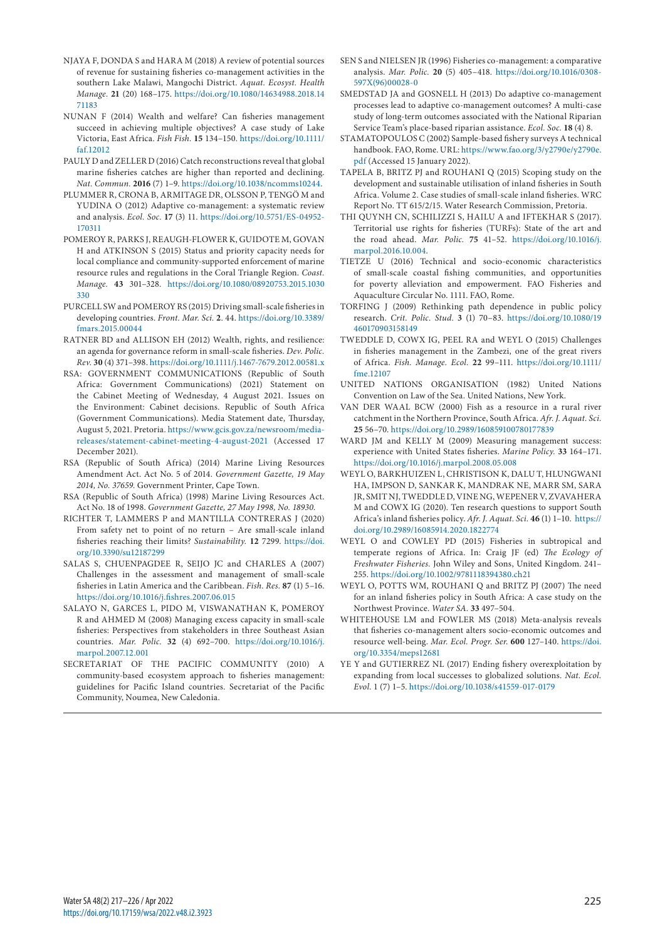- NJAYA F, DONDA S and HARA M (2018) A review of potential sources of revenue for sustaining fisheries co-management activities in the southern Lake Malawi, Mangochi District. *Aquat. Ecosyst. Health Manage.* **21** (20) 168–175. [https://doi.org/10.1080/14634988.2018.14](https://doi.org/10.1080/14634988.2018.1471183) [71183](https://doi.org/10.1080/14634988.2018.1471183)
- NUNAN F (2014) Wealth and welfare? Can fisheries management succeed in achieving multiple objectives? A case study of Lake Victoria, East Africa. *Fish Fish.* **15** 134–150. [https://doi.org/10.1111/](https://doi.org/10.1111/faf.12012) [faf.12012](https://doi.org/10.1111/faf.12012)
- PAULY D and ZELLER D (2016) Catch reconstructions reveal that global marine fisheries catches are higher than reported and declining. *Nat. Commun.* **2016** (7) 1–9. <https://doi.org/10.1038/ncomms10244>.
- PLUMMER R, CRONA B, ARMITAGE DR, OLSSON P, TENGÖ M and YUDINA O (2012) Adaptive co-management: a systematic review and analysis. *Ecol. Soc.* **17** (3) 11. [https://doi.org/10.5751/ES-04952-](https://doi.org/10.5751/ES-04952-170311) [170311](https://doi.org/10.5751/ES-04952-170311)
- POMEROY R, PARKS J, REAUGH-FLOWER K, GUIDOTE M, GOVAN H and ATKINSON S (2015) Status and priority capacity needs for local compliance and community-supported enforcement of marine resource rules and regulations in the Coral Triangle Region. *Coast. Manage.* **43** 301–328. [https://doi.org/10.1080/08920753.2015.1030](https://doi.org/10.1080/08920753.2015.1030330) [330](https://doi.org/10.1080/08920753.2015.1030330)
- PURCELL SW and POMEROY RS (2015) Driving small-scale fisheries in developing countries. *Front. Mar. Sci.* **2**. 44. [https://doi.org/10.3389/](https://doi.org/10.3389/fmars.2015.00044) [fmars.2015.00044](https://doi.org/10.3389/fmars.2015.00044)
- RATNER BD and ALLISON EH (2012) Wealth, rights, and resilience: an agenda for governance reform in small-scale fisheries. *Dev. Polic. Rev.* **30** (4) 371–398.<https://doi.org/10.1111/j.1467-7679.2012.00581.x>
- RSA: GOVERNMENT COMMUNICATIONS (Republic of South Africa: Government Communications) (2021) Statement on the Cabinet Meeting of Wednesday, 4 August 2021. Issues on the Environment: Cabinet decisions. Republic of South Africa (Government Communications). Media Statement date, Thursday, August 5, 2021. Pretoria. [https://www.gcis.gov.za/newsroom/media](https://www.gcis.gov.za/newsroom/media-releases/statement-cabinet-meeting-4-august-2021)[releases/statement-cabinet-meeting-4-august-2021](https://www.gcis.gov.za/newsroom/media-releases/statement-cabinet-meeting-4-august-2021) (Accessed 17 December 2021).
- RSA (Republic of South Africa) (2014) Marine Living Resources Amendment Act. Act No. 5 of 2014. *Government Gazette, 19 May 2014, No. 37659.* Government Printer, Cape Town.
- RSA (Republic of South Africa) (1998) Marine Living Resources Act. Act No. 18 of 1998. *Government Gazette, 27 May 1998, No. 18930.*
- RICHTER T, LAMMERS P and MANTILLA CONTRERAS J (2020) From safety net to point of no return – Are small-scale inland fisheries reaching their limits? *Sustainability.* **12** 7299. [https://doi.](https://doi.org/10.3390/su12187299) [org/10.3390/su12187299](https://doi.org/10.3390/su12187299)
- SALAS S, CHUENPAGDEE R, SEIJO JC and CHARLES A (2007) Challenges in the assessment and management of small-scale fisheries in Latin America and the Caribbean. *Fish. Res.* **87** (1) 5–16. <https://doi.org/10.1016/j.fishres.2007.06.015>
- SALAYO N, GARCES L, PIDO M, VISWANATHAN K, POMEROY R and AHMED M (2008) Managing excess capacity in small-scale fisheries: Perspectives from stakeholders in three Southeast Asian countries. *Mar. Polic.* **32** (4) 692–700. [https://doi.org/10.1016/j.](https://doi.org/10.1016/j.marpol.2007.12.001) [marpol.2007.12.001](https://doi.org/10.1016/j.marpol.2007.12.001)
- SECRETARIAT OF THE PACIFIC COMMUNITY (2010) A community-based ecosystem approach to fisheries management: guidelines for Pacific Island countries. Secretariat of the Pacific Community, Noumea, New Caledonia.
- SEN S and NIELSEN JR (1996) Fisheries co-management: a comparative analysis. *Mar. Polic.* **20** (5) 405–418. [https://doi.org/10.1016/0308-](https://doi.org/10.1016/0308-597X(96)00028-0) [597X\(96\)00028-0](https://doi.org/10.1016/0308-597X(96)00028-0)
- SMEDSTAD JA and GOSNELL H (2013) Do adaptive co-management processes lead to adaptive co-management outcomes? A multi-case study of long-term outcomes associated with the National Riparian Service Team's place-based riparian assistance. *Ecol. Soc.* **18** (4) 8.
- STAMATOPOULOS C (2002) Sample-based fishery surveys A technical handbook. FAO, Rome. URL: [https://www.fao.org/3/y2790e/y2790e.](https://www.fao.org/3/y2790e/y2790e.pdf) [pdf](https://www.fao.org/3/y2790e/y2790e.pdf) (Accessed 15 January 2022).
- TAPELA B, BRITZ PJ and ROUHANI Q (2015) Scoping study on the development and sustainable utilisation of inland fisheries in South Africa. Volume 2. Case studies of small-scale inland fisheries. WRC Report No. TT 615/2/15. Water Research Commission, Pretoria.
- THI QUYNH CN, SCHILIZZI S, HAILU A and IFTEKHAR S (2017). Territorial use rights for fisheries (TURFs): State of the art and the road ahead. *Mar. Polic.* **75** 41–52. [https://doi.org/10.1016/j.](https://doi.org/10.1016/j.marpol.2016.10.004) [marpol.2016.10.004](https://doi.org/10.1016/j.marpol.2016.10.004).
- TIETZE U (2016) Technical and socio-economic characteristics of small-scale coastal fishing communities, and opportunities for poverty alleviation and empowerment. FAO Fisheries and Aquaculture Circular No. 1111. FAO, Rome.
- TORFING J (2009) Rethinking path dependence in public policy research. *Crit. Polic. Stud.* **3** (1) 70–83. [https://doi.org/10.1080/19](https://doi.org/10.1080/19460170903158149) [460170903158149](https://doi.org/10.1080/19460170903158149)
- TWEDDLE D, COWX IG, PEEL RA and WEYL O (2015) Challenges in fisheries management in the Zambezi, one of the great rivers of Africa. *Fish. Manage. Ecol.* **22** 99–111. [https://doi.org/10.1111/](https://doi.org/10.1111/fme.12107) [fme.12107](https://doi.org/10.1111/fme.12107)
- UNITED NATIONS ORGANISATION (1982) United Nations Convention on Law of the Sea. United Nations, New York.
- VAN DER WAAL BCW (2000) Fish as a resource in a rural river catchment in the Northern Province, South Africa. *Afr. J. Aquat. Sci.* **25** 56–70.<https://doi.org/10.2989/160859100780177839>
- WARD JM and KELLY M (2009) Measuring management success: experience with United States fisheries. *Marine Policy.* **33** 164–171. <https://doi.org/10.1016/j.marpol.2008.05.008>
- WEYL O, BARKHUIZEN L, CHRISTISON K, DALU T, HLUNGWANI HA, IMPSON D, SANKAR K, MANDRAK NE, MARR SM, SARA JR, SMIT NJ, TWEDDLE D, VINE NG, WEPENER V, ZVAVAHERA M and COWX IG (2020). Ten research questions to support South Africa's inland fisheries policy. *Afr. J. Aquat. Sci.* **46** (1) 1–10.  [https://](https://doi.org/10.2989/16085914.2020.1822774) [doi.org/10.2989/16085914.2020.1822774](https://doi.org/10.2989/16085914.2020.1822774)
- WEYL O and COWLEY PD (2015) Fisheries in subtropical and temperate regions of Africa. In: Craig JF (ed) *The Ecology of Freshwater Fisheries.* John Wiley and Sons, United Kingdom. 241– 255. <https://doi.org/10.1002/9781118394380.ch21>
- WEYL O, POTTS WM, ROUHANI Q and BRITZ PJ (2007) The need for an inland fisheries policy in South Africa: A case study on the Northwest Province. *Water SA.* **33** 497–504.
- WHITEHOUSE LM and FOWLER MS (2018) Meta-analysis reveals that fisheries co-management alters socio-economic outcomes and resource well-being. *Mar. Ecol. Progr. Ser*. **600** 127–140. [https://doi.](https://doi.org/10.3354/meps12681) [org/10.3354/meps12681](https://doi.org/10.3354/meps12681)
- YE Y and GUTIERREZ NL (2017) Ending fishery overexploitation by expanding from local successes to globalized solutions. *Nat. Ecol. Evol.* 1 (7) 1–5.<https://doi.org/10.1038/s41559-017-0179>